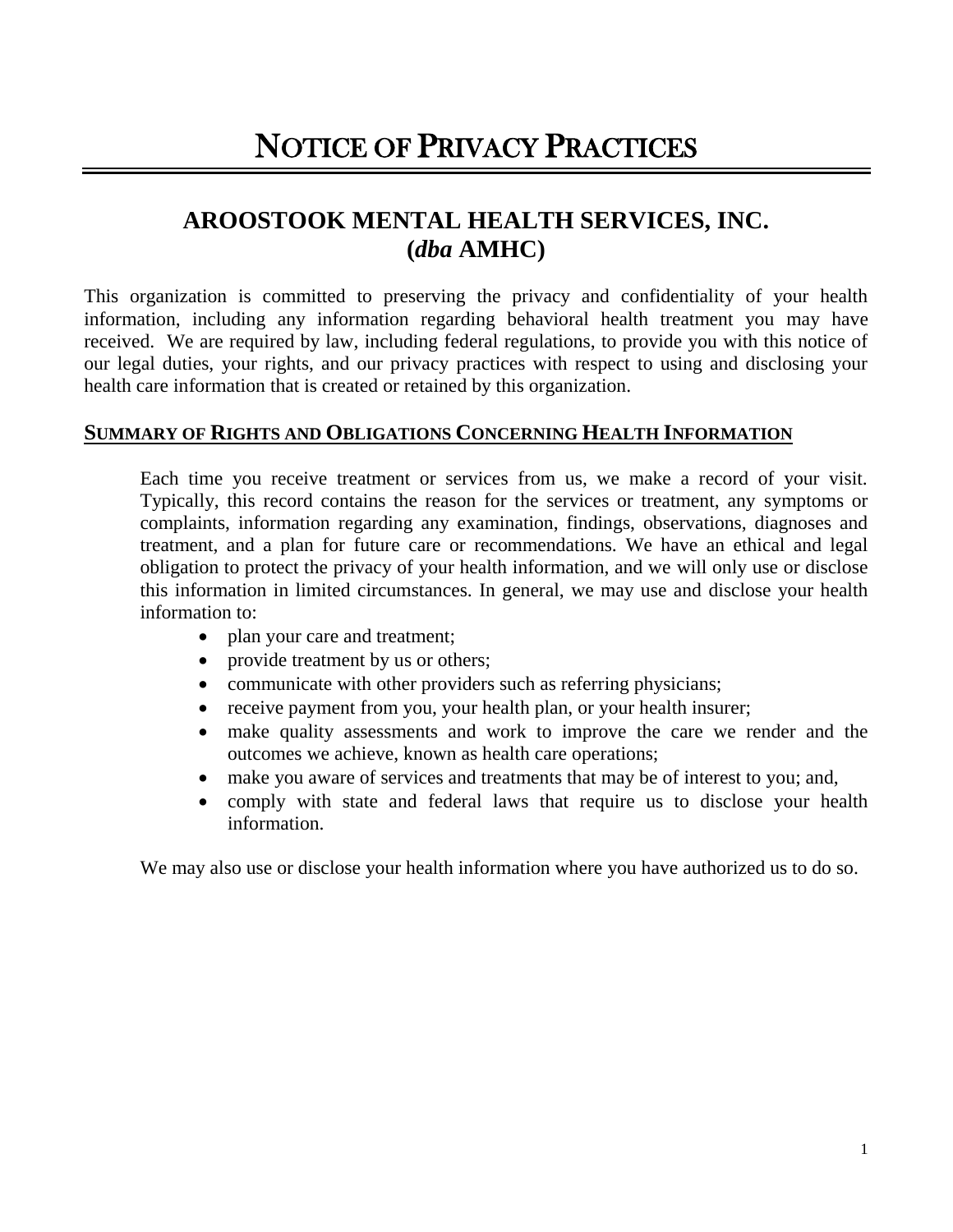# **AROOSTOOK MENTAL HEALTH SERVICES, INC. (***dba* **AMHC)**

This organization is committed to preserving the privacy and confidentiality of your health information, including any information regarding behavioral health treatment you may have received. We are required by law, including federal regulations, to provide you with this notice of our legal duties, your rights, and our privacy practices with respect to using and disclosing your health care information that is created or retained by this organization.

#### **SUMMARY OF RIGHTS AND OBLIGATIONS CONCERNING HEALTH INFORMATION**

Each time you receive treatment or services from us, we make a record of your visit. Typically, this record contains the reason for the services or treatment, any symptoms or complaints, information regarding any examination, findings, observations, diagnoses and treatment, and a plan for future care or recommendations. We have an ethical and legal obligation to protect the privacy of your health information, and we will only use or disclose this information in limited circumstances. In general, we may use and disclose your health information to:

- plan your care and treatment;
- provide treatment by us or others;
- communicate with other providers such as referring physicians;
- receive payment from you, your health plan, or your health insurer;
- make quality assessments and work to improve the care we render and the outcomes we achieve, known as health care operations;
- make you aware of services and treatments that may be of interest to you; and,
- comply with state and federal laws that require us to disclose your health information.

We may also use or disclose your health information where you have authorized us to do so.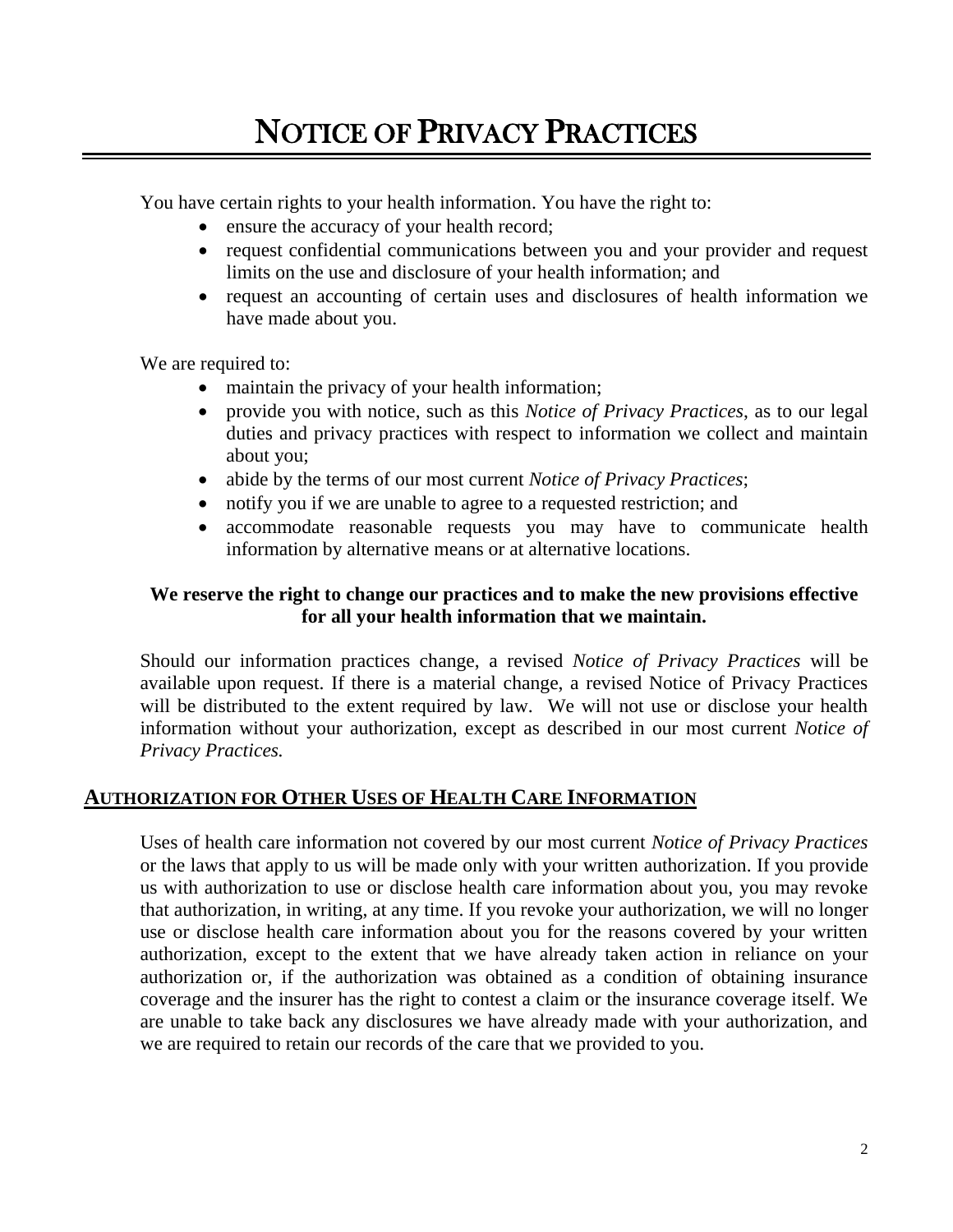You have certain rights to your health information. You have the right to:

- ensure the accuracy of your health record;
- request confidential communications between you and your provider and request limits on the use and disclosure of your health information; and
- request an accounting of certain uses and disclosures of health information we have made about you.

We are required to:

- maintain the privacy of your health information;
- provide you with notice, such as this *Notice of Privacy Practices*, as to our legal duties and privacy practices with respect to information we collect and maintain about you;
- abide by the terms of our most current *Notice of Privacy Practices*;
- notify you if we are unable to agree to a requested restriction; and
- accommodate reasonable requests you may have to communicate health information by alternative means or at alternative locations.

#### **We reserve the right to change our practices and to make the new provisions effective for all your health information that we maintain.**

Should our information practices change, a revised *Notice of Privacy Practices* will be available upon request. If there is a material change, a revised Notice of Privacy Practices will be distributed to the extent required by law. We will not use or disclose your health information without your authorization, except as described in our most current *Notice of Privacy Practices.*

#### **AUTHORIZATION FOR OTHER USES OF HEALTH CARE INFORMATION**

Uses of health care information not covered by our most current *Notice of Privacy Practices*  or the laws that apply to us will be made only with your written authorization. If you provide us with authorization to use or disclose health care information about you, you may revoke that authorization, in writing, at any time. If you revoke your authorization, we will no longer use or disclose health care information about you for the reasons covered by your written authorization, except to the extent that we have already taken action in reliance on your authorization or, if the authorization was obtained as a condition of obtaining insurance coverage and the insurer has the right to contest a claim or the insurance coverage itself. We are unable to take back any disclosures we have already made with your authorization, and we are required to retain our records of the care that we provided to you.